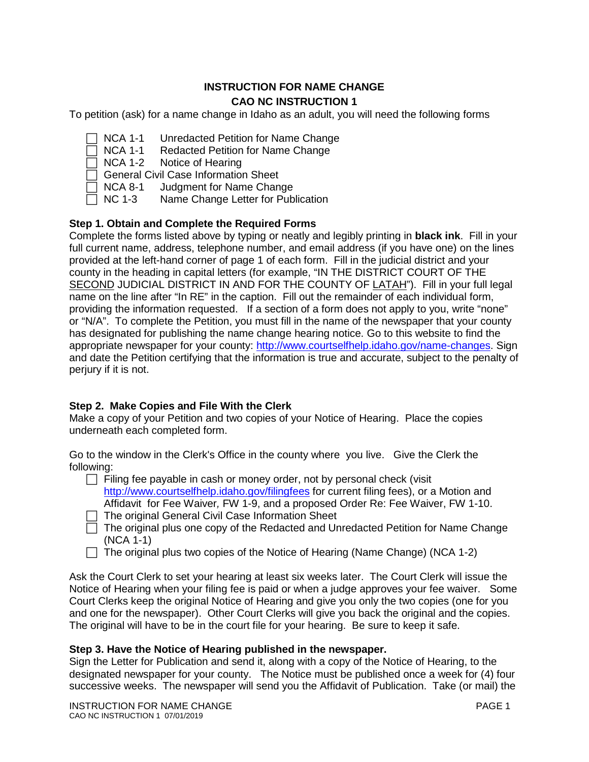## **INSTRUCTION FOR NAME CHANGE CAO NC INSTRUCTION 1**

To petition (ask) for a name change in Idaho as an adult, you will need the following forms

- NCA 1-1 Unredacted Petition for Name Change
- $\Box$  NCA 1-1 Redacted Petition for Name Change
- $\Box$  NCA 1-2 Notice of Hearing
- □ General Civil Case Information Sheet<br>□ NCA 8-1 Judgment for Name Chan
- Judgment for Name Change
- $\Box$  NC 1-3 Name Change Letter for Publication

# **Step 1. Obtain and Complete the Required Forms**

Complete the forms listed above by typing or neatly and legibly printing in **black ink**. Fill in your full current name, address, telephone number, and email address (if you have one) on the lines provided at the left-hand corner of page 1 of each form. Fill in the judicial district and your county in the heading in capital letters (for example, "IN THE DISTRICT COURT OF THE SECOND JUDICIAL DISTRICT IN AND FOR THE COUNTY OF LATAH"). Fill in your full legal name on the line after "In RE" in the caption. Fill out the remainder of each individual form, providing the information requested. If a section of a form does not apply to you, write "none" or "N/A". To complete the Petition, you must fill in the name of the newspaper that your county has designated for publishing the name change hearing notice. Go to this website to find the appropriate newspaper for your county: [http://www.courtselfhelp.idaho.gov/name-changes.](http://www.courtselfhelp.idaho.gov/name-changes) Sign and date the Petition certifying that the information is true and accurate, subject to the penalty of perjury if it is not.

## **Step 2. Make Copies and File With the Clerk**

Make a copy of your Petition and two copies of your Notice of Hearing. Place the copies underneath each completed form.

Go to the window in the Clerk's Office in the county where you live. Give the Clerk the following:

- $\Box$  Filing fee payable in cash or money order, not by personal check (visit <http://www.courtselfhelp.idaho.gov/filingfees> for current filing fees), or a Motion and Affidavit for Fee Waiver*,* FW 1-9, and a proposed Order Re: Fee Waiver, FW 1-10.
- $\Box$  The original General Civil Case Information Sheet
- $\Box$  The original plus one copy of the Redacted and Unredacted Petition for Name Change (NCA 1-1)
- $\Box$  The original plus two copies of the Notice of Hearing (Name Change) (NCA 1-2)

Ask the Court Clerk to set your hearing at least six weeks later. The Court Clerk will issue the Notice of Hearing when your filing fee is paid or when a judge approves your fee waiver. Some Court Clerks keep the original Notice of Hearing and give you only the two copies (one for you and one for the newspaper). Other Court Clerks will give you back the original and the copies. The original will have to be in the court file for your hearing. Be sure to keep it safe.

## **Step 3. Have the Notice of Hearing published in the newspaper.**

Sign the Letter for Publication and send it, along with a copy of the Notice of Hearing, to the designated newspaper for your county. The Notice must be published once a week for (4) four successive weeks. The newspaper will send you the Affidavit of Publication. Take (or mail) the